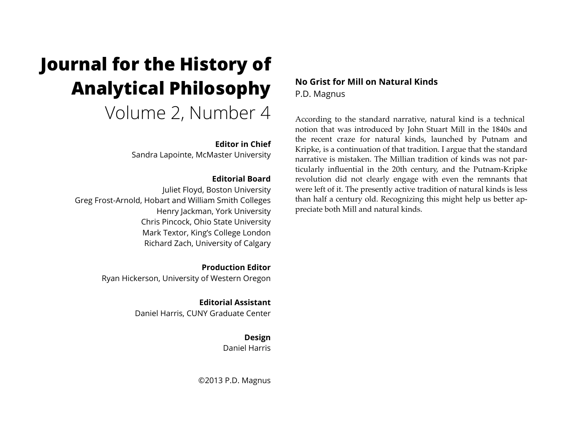# **Journal for the History of Analytical Philosophy**  Volume 2, Number 4

## **Editor in Chief**

Sandra Lapointe, McMaster University

## **Editorial Board**

Juliet Floyd, Boston University Greg Frost-Arnold, Hobart and William Smith Colleges Henry Jackman, York University Chris Pincock, Ohio State University Mark Textor, King's College London Richard Zach, University of Calgary

> **Production Editor** Ryan Hickerson, University of Western Oregon

> > **Editorial Assistant** Daniel Harris, CUNY Graduate Center

> > > **Design** Daniel Harris

©2013 P.D. Magnus

**No Grist for Mill on Natural Kinds** P.D. Magnus

According to the standard narrative, natural kind is a technical notion that was introduced by John Stuart Mill in the 1840s and the recent craze for natural kinds, launched by Putnam and Kripke, is a continuation of that tradition. I argue that the standard narrative is mistaken. The Millian tradition of kinds was not particularly influential in the 20th century, and the Putnam-Kripke revolution did not clearly engage with even the remnants that were left of it. The presently active tradition of natural kinds is less than half a century old. Recognizing this might help us better appreciate both Mill and natural kinds.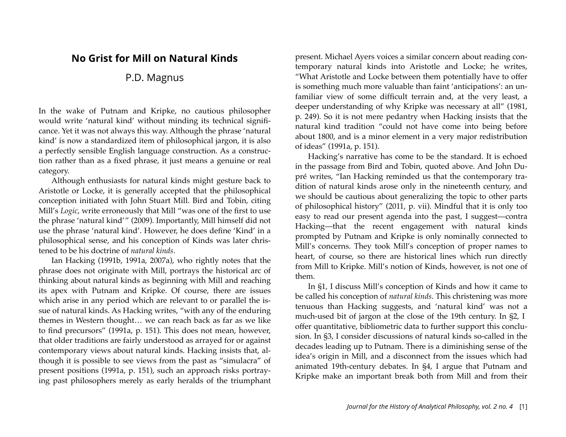# **No Grist for Mill on Natural Kinds**

# P.D. Magnus

In the wake of Putnam and Kripke, no cautious philosopher would write 'natural kind' without minding its technical significance. Yet it was not always this way. Although the phrase 'natural kind' is now a standardized item of philosophical jargon, it is also a perfectly sensible English language construction. As a construction rather than as a fixed phrase, it just means a genuine or real category.

Although enthusiasts for natural kinds might gesture back to Aristotle or Locke, it is generally accepted that the philosophical conception initiated with John Stuart Mill. Bird and Tobin, citing Mill's *Logic*, write erroneously that Mill "was one of the first to use the phrase 'natural kind'" (2009). Importantly, Mill himself did not use the phrase 'natural kind'. However, he does define 'Kind' in a philosophical sense, and his conception of Kinds was later christened to be his doctrine of *natural kinds*.

Ian Hacking (1991b, 1991a, 2007a), who rightly notes that the phrase does not originate with Mill, portrays the historical arc of thinking about natural kinds as beginning with Mill and reaching its apex with Putnam and Kripke. Of course, there are issues which arise in any period which are relevant to or parallel the issue of natural kinds. As Hacking writes, "with any of the enduring themes in Western thought… we can reach back as far as we like to find precursors" (1991a, p. 151). This does not mean, however, that older traditions are fairly understood as arrayed for or against contemporary views about natural kinds. Hacking insists that, although it is possible to see views from the past as "simulacra" of present positions (1991a, p. 151), such an approach risks portraying past philosophers merely as early heralds of the triumphant present. Michael Ayers voices a similar concern about reading contemporary natural kinds into Aristotle and Locke; he writes, "What Aristotle and Locke between them potentially have to offer is something much more valuable than faint 'anticipations': an unfamiliar view of some difficult terrain and, at the very least, a deeper understanding of why Kripke was necessary at all" (1981, p. 249). So it is not mere pedantry when Hacking insists that the natural kind tradition "could not have come into being before about 1800, and is a minor element in a very major redistribution of ideas" (1991a, p. 151).

Hacking's narrative has come to be the standard. It is echoed in the passage from Bird and Tobin, quoted above. And John Dupré writes, "Ian Hacking reminded us that the contemporary tradition of natural kinds arose only in the nineteenth century, and we should be cautious about generalizing the topic to other parts of philosophical history" (2011, p. vii). Mindful that it is only too easy to read our present agenda into the past, I suggest—contra Hacking—that the recent engagement with natural kinds prompted by Putnam and Kripke is only nominally connected to Mill's concerns. They took Mill's conception of proper names to heart, of course, so there are historical lines which run directly from Mill to Kripke. Mill's notion of Kinds, however, is not one of them.

In §1, I discuss Mill's conception of Kinds and how it came to be called his conception of *natural kinds*. This christening was more tenuous than Hacking suggests, and 'natural kind' was not a much-used bit of jargon at the close of the 19th century. In §2, I offer quantitative, bibliometric data to further support this conclusion. In §3, I consider discussions of natural kinds so-called in the decades leading up to Putnam. There is a diminishing sense of the idea's origin in Mill, and a disconnect from the issues which had animated 19th-century debates. In §4, I argue that Putnam and Kripke make an important break both from Mill and from their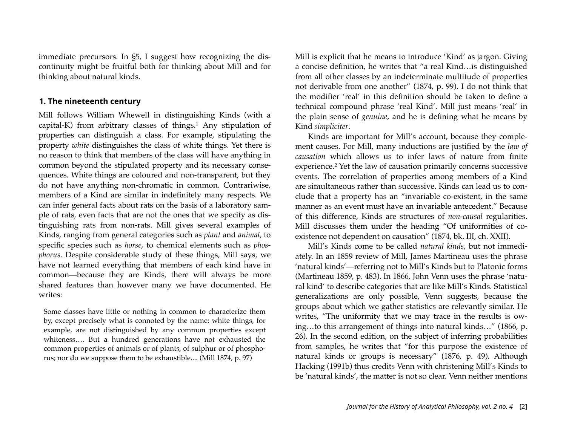immediate precursors. In §5, I suggest how recognizing the discontinuity might be fruitful both for thinking about Mill and for thinking about natural kinds.

#### **1. The nineteenth century**

Mill follows William Whewell in distinguishing Kinds (with a capital-K) from arbitrary classes of things.<sup>[1](#page-13-0)</sup> Any stipulation of properties can distinguish a class. For example, stipulating the property *white* distinguishes the class of white things. Yet there is no reason to think that members of the class will have anything in common beyond the stipulated property and its necessary consequences. White things are coloured and non-transparent, but they do not have anything non-chromatic in common. Contrariwise, members of a Kind are similar in indefinitely many respects. We can infer general facts about rats on the basis of a laboratory sample of rats, even facts that are not the ones that we specify as distinguishing rats from non-rats. Mill gives several examples of Kinds, ranging from general categories such as *plant* and *animal*, to specific species such as *horse*, to chemical elements such as *phosphorus*. Despite considerable study of these things, Mill says, we have not learned everything that members of each kind have in common—because they are Kinds, there will always be more shared features than however many we have documented. He writes:

Some classes have little or nothing in common to characterize them by, except precisely what is connoted by the name: white things, for example, are not distinguished by any common properties except whiteness…. But a hundred generations have not exhausted the common properties of animals or of plants, of sulphur or of phosphorus; nor do we suppose them to be exhaustible.... (Mill 1874, p. 97)

Mill is explicit that he means to introduce 'Kind' as jargon. Giving a concise definition, he writes that "a real Kind…is distinguished from all other classes by an indeterminate multitude of properties not derivable from one another" (1874, p. 99). I do not think that the modifier 'real' in this definition should be taken to define a technical compound phrase 'real Kind'. Mill just means 'real' in the plain sense of *genuine*, and he is defining what he means by Kind *simpliciter*.

Kinds are important for Mill's account, because they complement causes. For Mill, many inductions are justified by the *law of causation* which allows us to infer laws of nature from finite experience[.2](#page-13-1) Yet the law of causation primarily concerns successive events. The correlation of properties among members of a Kind are simultaneous rather than successive. Kinds can lead us to conclude that a property has an "invariable co-existent, in the same manner as an event must have an invariable antecedent." Because of this difference, Kinds are structures of *non-causal* regularities. Mill discusses them under the heading "Of uniformities of coexistence not dependent on causation" (1874, bk. III, ch. XXII).

Mill's Kinds come to be called *natural kinds*, but not immediately. In an 1859 review of Mill, James Martineau uses the phrase 'natural kinds'—referring not to Mill's Kinds but to Platonic forms (Martineau 1859, p. 483). In 1866, John Venn uses the phrase 'natural kind' to describe categories that are like Mill's Kinds. Statistical generalizations are only possible, Venn suggests, because the groups about which we gather statistics are relevantly similar. He writes, "The uniformity that we may trace in the results is owing…to this arrangement of things into natural kinds…" (1866, p. 26). In the second edition, on the subject of inferring probabilities from samples, he writes that "for this purpose the existence of natural kinds or groups is necessary" (1876, p. 49). Although Hacking (1991b) thus credits Venn with christening Mill's Kinds to be 'natural kinds', the matter is not so clear. Venn neither mentions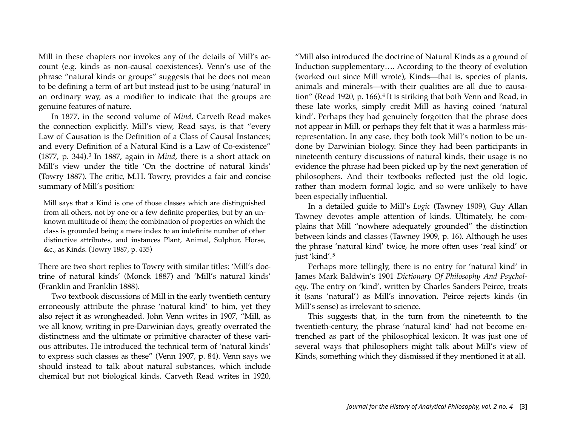Mill in these chapters nor invokes any of the details of Mill's account (e.g. kinds as non-causal coexistences). Venn's use of the phrase "natural kinds or groups" suggests that he does not mean to be defining a term of art but instead just to be using 'natural' in an ordinary way, as a modifier to indicate that the groups are genuine features of nature.

In 1877, in the second volume of *Mind*, Carveth Read makes the connection explicitly. Mill's view, Read says, is that "every Law of Causation is the Definition of a Class of Causal Instances; and every Definition of a Natural Kind is a Law of Co-existence" (1877, p. 344).[3](#page-13-2) In 1887, again in *Mind*, there is a short attack on Mill's view under the title 'On the doctrine of natural kinds' (Towry 1887). The critic, M.H. Towry, provides a fair and concise summary of Mill's position:

Mill says that a Kind is one of those classes which are distinguished from all others, not by one or a few definite properties, but by an unknown multitude of them; the combination of properties on which the class is grounded being a mere index to an indefinite number of other distinctive attributes, and instances Plant, Animal, Sulphur, Horse, &c., as Kinds. (Towry 1887, p. 435)

There are two short replies to Towry with similar titles: 'Mill's doctrine of natural kinds' (Monck 1887) and 'Mill's natural kinds' (Franklin and Franklin 1888).

Two textbook discussions of Mill in the early twentieth century erroneously attribute the phrase 'natural kind' to him, yet they also reject it as wrongheaded. John Venn writes in 1907, "Mill, as we all know, writing in pre-Darwinian days, greatly overrated the distinctness and the ultimate or primitive character of these various attributes. He introduced the technical term of 'natural kinds' to express such classes as these" (Venn 1907, p. 84). Venn says we should instead to talk about natural substances, which include chemical but not biological kinds. Carveth Read writes in 1920,

"Mill also introduced the doctrine of Natural Kinds as a ground of Induction supplementary…. According to the theory of evolution (worked out since Mill wrote), Kinds—that is, species of plants, animals and minerals—with their qualities are all due to causa-tion" (Read 1920, p. 166).<sup>[4](#page-13-3)</sup> It is striking that both Venn and Read, in these late works, simply credit Mill as having coined 'natural kind'. Perhaps they had genuinely forgotten that the phrase does not appear in Mill, or perhaps they felt that it was a harmless misrepresentation. In any case, they both took Mill's notion to be undone by Darwinian biology. Since they had been participants in nineteenth century discussions of natural kinds, their usage is no evidence the phrase had been picked up by the next generation of philosophers. And their textbooks reflected just the old logic, rather than modern formal logic, and so were unlikely to have been especially influential.

In a detailed guide to Mill's *Logic* (Tawney 1909), Guy Allan Tawney devotes ample attention of kinds. Ultimately, he complains that Mill "nowhere adequately grounded" the distinction between kinds and classes (Tawney 1909, p. 16). Although he uses the phrase 'natural kind' twice, he more often uses 'real kind' or just 'kind'.[5](#page-13-4)

Perhaps more tellingly, there is no entry for 'natural kind' in James Mark Baldwin's 1901 *Dictionary Of Philosophy And Psychology*. The entry on 'kind', written by Charles Sanders Peirce, treats it (sans 'natural') as Mill's innovation. Peirce rejects kinds (in Mill's sense) as irrelevant to science.

This suggests that, in the turn from the nineteenth to the twentieth-century, the phrase 'natural kind' had not become entrenched as part of the philosophical lexicon. It was just one of several ways that philosophers might talk about Mill's view of Kinds, something which they dismissed if they mentioned it at all.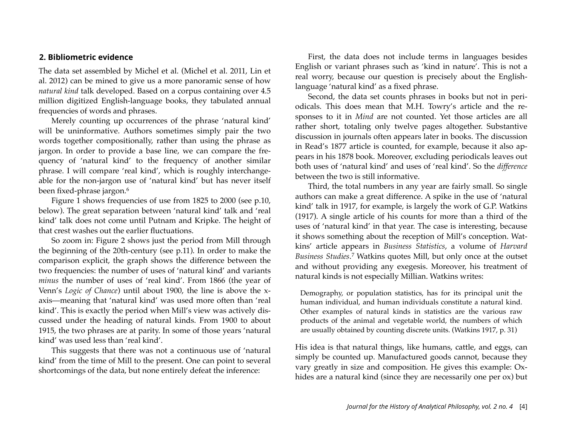#### **2. Bibliometric evidence**

The data set assembled by Michel et al. (Michel et al. 2011, Lin et al. 2012) can be mined to give us a more panoramic sense of how *natural kind* talk developed. Based on a corpus containing over 4.5 million digitized English-language books, they tabulated annual frequencies of words and phrases.

Merely counting up occurrences of the phrase 'natural kind' will be uninformative. Authors sometimes simply pair the two words together compositionally, rather than using the phrase as jargon. In order to provide a base line, we can compare the frequency of 'natural kind' to the frequency of another similar phrase. I will compare 'real kind', which is roughly interchangeable for the non-jargon use of 'natural kind' but has never itself been fixed-phrase jargon.<sup>[6](#page-13-5)</sup>

Figure 1 shows frequencies of use from 1825 to 2000 (see p.10, below). The great separation between 'natural kind' talk and 'real kind' talk does not come until Putnam and Kripke. The height of that crest washes out the earlier fluctuations.

So zoom in: Figure 2 shows just the period from Mill through the beginning of the 20th-century (see p.11). In order to make the comparison explicit, the graph shows the difference between the two frequencies: the number of uses of 'natural kind' and variants *minus* the number of uses of 'real kind'. From 1866 (the year of Venn's *Logic of Chance*) until about 1900, the line is above the xaxis—meaning that 'natural kind' was used more often than 'real kind'. This is exactly the period when Mill's view was actively discussed under the heading of natural kinds. From 1900 to about 1915, the two phrases are at parity. In some of those years 'natural kind' was used less than 'real kind'.

This suggests that there was not a continuous use of 'natural kind' from the time of Mill to the present. One can point to several shortcomings of the data, but none entirely defeat the inference:

First, the data does not include terms in languages besides English or variant phrases such as 'kind in nature'. This is not a real worry, because our question is precisely about the Englishlanguage 'natural kind' as a fixed phrase.

Second, the data set counts phrases in books but not in periodicals. This does mean that M.H. Towry's article and the responses to it in *Mind* are not counted. Yet those articles are all rather short, totaling only twelve pages altogether. Substantive discussion in journals often appears later in books. The discussion in Read's 1877 article is counted, for example, because it also appears in his 1878 book. Moreover, excluding periodicals leaves out both uses of 'natural kind' and uses of 'real kind'. So the *difference* between the two is still informative.

Third, the total numbers in any year are fairly small. So single authors can make a great difference. A spike in the use of 'natural kind' talk in 1917, for example, is largely the work of G.P. Watkins (1917). A single article of his counts for more than a third of the uses of 'natural kind' in that year. The case is interesting, because it shows something about the reception of Mill's conception. Watkins' article appears in *Business Statistics*, a volume of *Harvard Business Studies*.[7](#page-13-6) Watkins quotes Mill, but only once at the outset and without providing any exegesis. Moreover, his treatment of natural kinds is not especially Millian. Watkins writes:

Demography, or population statistics, has for its principal unit the human individual, and human individuals constitute a natural kind. Other examples of natural kinds in statistics are the various raw products of the animal and vegetable world, the numbers of which are usually obtained by counting discrete units. (Watkins 1917, p. 31)

His idea is that natural things, like humans, cattle, and eggs, can simply be counted up. Manufactured goods cannot, because they vary greatly in size and composition. He gives this example: Oxhides are a natural kind (since they are necessarily one per ox) but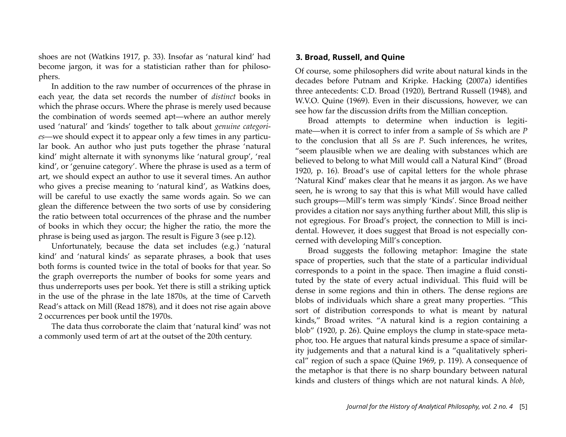shoes are not (Watkins 1917, p. 33). Insofar as 'natural kind' had become jargon, it was for a statistician rather than for philosophers.

In addition to the raw number of occurrences of the phrase in each year, the data set records the number of *distinct* books in which the phrase occurs. Where the phrase is merely used because the combination of words seemed apt—where an author merely used 'natural' and 'kinds' together to talk about *genuine categories*—we should expect it to appear only a few times in any particular book. An author who just puts together the phrase 'natural kind' might alternate it with synonyms like 'natural group', 'real kind', or 'genuine category'. Where the phrase is used as a term of art, we should expect an author to use it several times. An author who gives a precise meaning to 'natural kind', as Watkins does, will be careful to use exactly the same words again. So we can glean the difference between the two sorts of use by considering the ratio between total occurrences of the phrase and the number of books in which they occur; the higher the ratio, the more the phrase is being used as jargon. The result is Figure 3 (see p.12).

Unfortunately, because the data set includes (e.g.) 'natural kind' and 'natural kinds' as separate phrases, a book that uses both forms is counted twice in the total of books for that year. So the graph overreports the number of books for some years and thus underreports uses per book. Yet there is still a striking uptick in the use of the phrase in the late 1870s, at the time of Carveth Read's attack on Mill (Read 1878), and it does not rise again above 2 occurrences per book until the 1970s.

The data thus corroborate the claim that 'natural kind' was not a commonly used term of art at the outset of the 20th century.

#### **3. Broad, Russell, and Quine**

Of course, some philosophers did write about natural kinds in the decades before Putnam and Kripke. Hacking (2007a) identifies three antecedents: C.D. Broad (1920), Bertrand Russell (1948), and W.V.O. Quine (1969). Even in their discussions, however, we can see how far the discussion drifts from the Millian conception.

Broad attempts to determine when induction is legitimate—when it is correct to infer from a sample of *S*s which are *P* to the conclusion that all *S*s are *P*. Such inferences, he writes, "seem plausible when we are dealing with substances which are believed to belong to what Mill would call a Natural Kind" (Broad 1920, p. 16). Broad's use of capital letters for the whole phrase 'Natural Kind' makes clear that he means it as jargon. As we have seen, he is wrong to say that this is what Mill would have called such groups—Mill's term was simply 'Kinds'. Since Broad neither provides a citation nor says anything further about Mill, this slip is not egregious. For Broad's project, the connection to Mill is incidental. However, it does suggest that Broad is not especially concerned with developing Mill's conception.

Broad suggests the following metaphor: Imagine the state space of properties, such that the state of a particular individual corresponds to a point in the space. Then imagine a fluid constituted by the state of every actual individual. This fluid will be dense in some regions and thin in others. The dense regions are blobs of individuals which share a great many properties. "This sort of distribution corresponds to what is meant by natural kinds," Broad writes. "A natural kind is a region containing a blob" (1920, p. 26). Quine employs the clump in state-space metaphor, too. He argues that natural kinds presume a space of similarity judgements and that a natural kind is a "qualitatively spherical" region of such a space (Quine 1969, p. 119). A consequence of the metaphor is that there is no sharp boundary between natural kinds and clusters of things which are not natural kinds. A *blob*,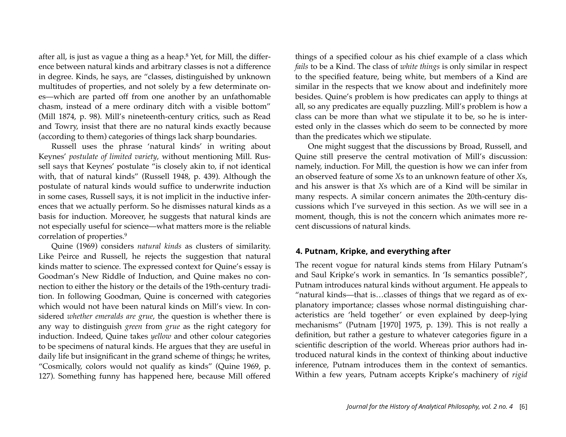after all, is just as vague a thing as a heap.[8](#page-13-7) Yet, for Mill, the difference between natural kinds and arbitrary classes is not a difference in degree. Kinds, he says, are "classes, distinguished by unknown multitudes of properties, and not solely by a few determinate ones—which are parted off from one another by an unfathomable chasm, instead of a mere ordinary ditch with a visible bottom" (Mill 1874, p. 98). Mill's nineteenth-century critics, such as Read and Towry, insist that there are no natural kinds exactly because (according to them) categories of things lack sharp boundaries.

Russell uses the phrase 'natural kinds' in writing about Keynes' *postulate of limited variety*, without mentioning Mill. Russell says that Keynes' postulate "is closely akin to, if not identical with, that of natural kinds" (Russell 1948, p. 439). Although the postulate of natural kinds would suffice to underwrite induction in some cases, Russell says, it is not implicit in the inductive inferences that we actually perform. So he dismisses natural kinds as a basis for induction. Moreover, he suggests that natural kinds are not especially useful for science—what matters more is the reliable correlation of properties[.9](#page-13-8)

Quine (1969) considers *natural kinds* as clusters of similarity. Like Peirce and Russell, he rejects the suggestion that natural kinds matter to science. The expressed context for Quine's essay is Goodman's New Riddle of Induction, and Quine makes no connection to either the history or the details of the 19th-century tradition. In following Goodman, Quine is concerned with categories which would not have been natural kinds on Mill's view. In considered *whether emeralds are grue*, the question is whether there is any way to distinguish *green* from *grue* as the right category for induction. Indeed, Quine takes *yellow* and other colour categories to be specimens of natural kinds. He argues that they are useful in daily life but insignificant in the grand scheme of things; he writes, "Cosmically, colors would not qualify as kinds" (Quine 1969, p. 127). Something funny has happened here, because Mill offered

things of a specified colour as his chief example of a class which *fails* to be a Kind. The class of *white things* is only similar in respect to the specified feature, being white, but members of a Kind are similar in the respects that we know about and indefinitely more besides. Quine's problem is how predicates can apply to things at all, so any predicates are equally puzzling. Mill's problem is how a class can be more than what we stipulate it to be, so he is interested only in the classes which do seem to be connected by more than the predicates which we stipulate.

One might suggest that the discussions by Broad, Russell, and Quine still preserve the central motivation of Mill's discussion: namely, induction. For Mill, the question is how we can infer from an observed feature of some *X*s to an unknown feature of other *X*s, and his answer is that *X*s which are of a Kind will be similar in many respects. A similar concern animates the 20th-century discussions which I've surveyed in this section. As we will see in a moment, though, this is not the concern which animates more recent discussions of natural kinds.

#### **4. Putnam, Kripke, and everything after**

The recent vogue for natural kinds stems from Hilary Putnam's and Saul Kripke's work in semantics. In 'Is semantics possible?', Putnam introduces natural kinds without argument. He appeals to "natural kinds—that is…classes of things that we regard as of explanatory importance; classes whose normal distinguishing characteristics are 'held together' or even explained by deep-lying mechanisms" (Putnam [1970] 1975, p. 139). This is not really a definition, but rather a gesture to whatever categories figure in a scientific description of the world. Whereas prior authors had introduced natural kinds in the context of thinking about inductive inference, Putnam introduces them in the context of semantics. Within a few years, Putnam accepts Kripke's machinery of *rigid*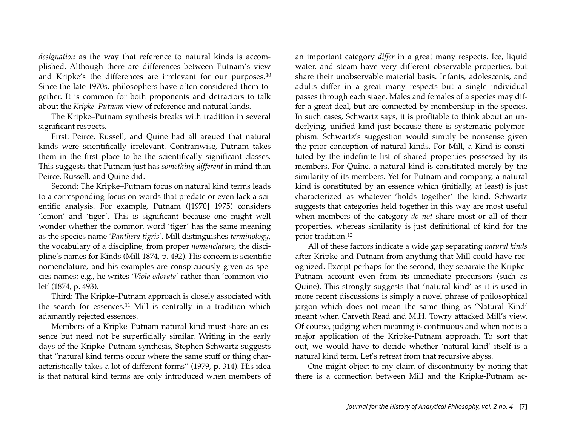*designation* as the way that reference to natural kinds is accomplished. Although there are differences between Putnam's view and Kripke's the differences are irrelevant for our purposes.[10](#page-13-9) Since the late 1970s, philosophers have often considered them together. It is common for both proponents and detractors to talk about the *Kripke–Putnam* view of reference and natural kinds.

The Kripke–Putnam synthesis breaks with tradition in several significant respects.

First: Peirce, Russell, and Quine had all argued that natural kinds were scientifically irrelevant. Contrariwise, Putnam takes them in the first place to be the scientifically significant classes. This suggests that Putnam just has *something different* in mind than Peirce, Russell, and Quine did.

Second: The Kripke–Putnam focus on natural kind terms leads to a corresponding focus on words that predate or even lack a scientific analysis. For example, Putnam ([1970] 1975) considers 'lemon' and 'tiger'. This is significant because one might well wonder whether the common word 'tiger' has the same meaning as the species name '*Panthera tigris*'. Mill distinguishes *terminology*, the vocabulary of a discipline, from proper *nomenclature*, the discipline's names for Kinds (Mill 1874, p. 492). His concern is scientific nomenclature, and his examples are conspicuously given as species names; e.g., he writes '*Viola odorata*' rather than 'common violet' (1874, p. 493).

Third: The Kripke–Putnam approach is closely associated with the search for essences.[11](#page-13-10) Mill is centrally in a tradition which adamantly rejected essences.

Members of a Kripke–Putnam natural kind must share an essence but need not be superficially similar. Writing in the early days of the Kripke–Putnam synthesis, Stephen Schwartz suggests that "natural kind terms occur where the same stuff or thing characteristically takes a lot of different forms" (1979, p. 314). His idea is that natural kind terms are only introduced when members of an important category *differ* in a great many respects. Ice, liquid water, and steam have very different observable properties, but share their unobservable material basis. Infants, adolescents, and adults differ in a great many respects but a single individual passes through each stage. Males and females of a species may differ a great deal, but are connected by membership in the species. In such cases, Schwartz says, it is profitable to think about an underlying, unified kind just because there is systematic polymorphism. Schwartz's suggestion would simply be nonsense given the prior conception of natural kinds. For Mill, a Kind is constituted by the indefinite list of shared properties possessed by its members. For Quine, a natural kind is constituted merely by the similarity of its members. Yet for Putnam and company, a natural kind is constituted by an essence which (initially, at least) is just characterized as whatever 'holds together' the kind. Schwartz suggests that categories held together in this way are most useful when members of the category *do not* share most or all of their properties, whereas similarity is just definitional of kind for the prior tradition.[12](#page-13-11)

All of these factors indicate a wide gap separating *natural kinds* after Kripke and Putnam from anything that Mill could have recognized. Except perhaps for the second, they separate the Kripke-Putnam account even from its immediate precursors (such as Quine). This strongly suggests that 'natural kind' as it is used in more recent discussions is simply a novel phrase of philosophical jargon which does not mean the same thing as 'Natural Kind' meant when Carveth Read and M.H. Towry attacked Mill's view. Of course, judging when meaning is continuous and when not is a major application of the Kripke-Putnam approach. To sort that out, we would have to decide whether 'natural kind' itself is a natural kind term. Let's retreat from that recursive abyss.

One might object to my claim of discontinuity by noting that there is a connection between Mill and the Kripke-Putnam ac-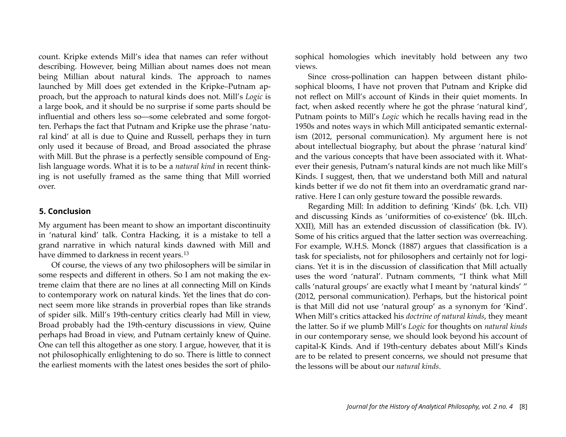count. Kripke extends Mill's idea that names can refer without describing. However, being Millian about names does not mean being Millian about natural kinds. The approach to names launched by Mill does get extended in the Kripke–Putnam approach, but the approach to natural kinds does not. Mill's *Logic* is a large book, and it should be no surprise if some parts should be influential and others less so—some celebrated and some forgotten. Perhaps the fact that Putnam and Kripke use the phrase 'natural kind' at all is due to Quine and Russell, perhaps they in turn only used it because of Broad, and Broad associated the phrase with Mill. But the phrase is a perfectly sensible compound of English language words. What it is to be a *natural kind* in recent thinking is not usefully framed as the same thing that Mill worried over.

#### **5. Conclusion**

My argument has been meant to show an important discontinuity in 'natural kind' talk. Contra Hacking, it is a mistake to tell a grand narrative in which natural kinds dawned with Mill and have dimmed to darkness in recent years.<sup>[13](#page-13-12)</sup>

Of course, the views of any two philosophers will be similar in some respects and different in others. So I am not making the extreme claim that there are no lines at all connecting Mill on Kinds to contemporary work on natural kinds. Yet the lines that do connect seem more like strands in proverbial ropes than like strands of spider silk. Mill's 19th-century critics clearly had Mill in view, Broad probably had the 19th-century discussions in view, Quine perhaps had Broad in view, and Putnam certainly knew of Quine. One can tell this altogether as one story. I argue, however, that it is not philosophically enlightening to do so. There is little to connect the earliest moments with the latest ones besides the sort of philosophical homologies which inevitably hold between any two views.

Since cross-pollination can happen between distant philosophical blooms, I have not proven that Putnam and Kripke did not reflect on Mill's account of Kinds in their quiet moments. In fact, when asked recently where he got the phrase 'natural kind', Putnam points to Mill's *Logic* which he recalls having read in the 1950s and notes ways in which Mill anticipated semantic externalism (2012, personal communication). My argument here is not about intellectual biography, but about the phrase 'natural kind' and the various concepts that have been associated with it. Whatever their genesis, Putnam's natural kinds are not much like Mill's Kinds. I suggest, then, that we understand both Mill and natural kinds better if we do not fit them into an overdramatic grand narrative. Here I can only gesture toward the possible rewards.

Regarding Mill: In addition to defining 'Kinds' (bk. I,ch. VII) and discussing Kinds as 'uniformities of co-existence' (bk. III,ch. XXII), Mill has an extended discussion of classification (bk. IV). Some of his critics argued that the latter section was overreaching. For example, W.H.S. Monck (1887) argues that classification is a task for specialists, not for philosophers and certainly not for logicians. Yet it is in the discussion of classification that Mill actually uses the word 'natural'. Putnam comments, "I think what Mill calls 'natural groups' are exactly what I meant by 'natural kinds' " (2012, personal communication). Perhaps, but the historical point is that Mill did not use 'natural group' as a synonym for 'Kind'. When Mill's critics attacked his *doctrine of natural kinds*, they meant the latter. So if we plumb Mill's *Logic* for thoughts on *natural kinds* in our contemporary sense, we should look beyond his account of capital-K Kinds. And if 19th-century debates about Mill's Kinds are to be related to present concerns, we should not presume that the lessons will be about our *natural kinds*.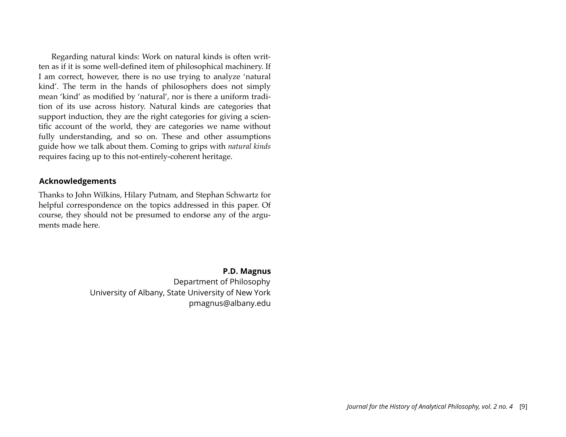Regarding natural kinds: Work on natural kinds is often written as if it is some well-defined item of philosophical machinery. If I am correct, however, there is no use trying to analyze 'natural kind'. The term in the hands of philosophers does not simply mean 'kind' as modified by 'natural', nor is there a uniform tradition of its use across history. Natural kinds are categories that support induction, they are the right categories for giving a scientific account of the world, they are categories we name without fully understanding, and so on. These and other assumptions guide how we talk about them. Coming to grips with *natural kinds* requires facing up to this not-entirely-coherent heritage.

#### **Acknowledgements**

Thanks to John Wilkins, Hilary Putnam, and Stephan Schwartz for helpful correspondence on the topics addressed in this paper. Of course, they should not be presumed to endorse any of the arguments made here.

> **P.D. Magnus** Department of Philosophy University of Albany, State University of New York pmagnus@albany.edu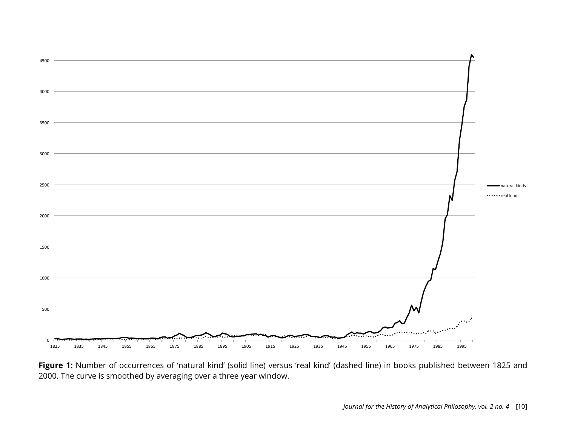

Figure 1: Number of occurrences of 'natural kind' (solid line) versus 'real kind' (dashed line) in books published between 1825 and 2000. The curve is smoothed by averaging over a three year window.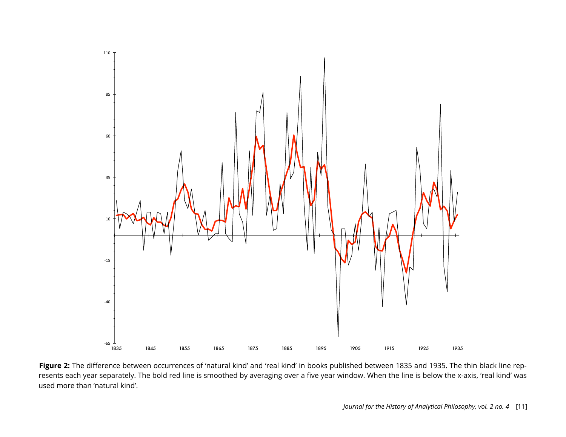

Figure 2: The difference between occurrences of 'natural kind' and 'real kind' in books published between 1835 and 1935. The thin black line represents each year separately. The bold red line is smoothed by averaging over a five year window. When the line is below the x-axis, 'real kind' was used more than 'natural kind'.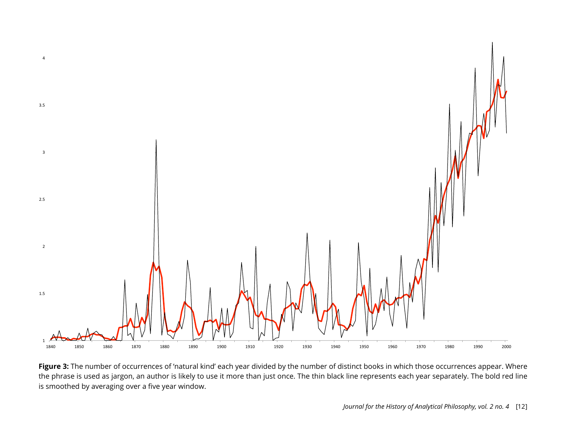

Figure 3: The number of occurrences of 'natural kind' each year divided by the number of distinct books in which those occurrences appear. Where the phrase is used as jargon, an author is likely to use it more than just once. The thin black line represents each year separately. The bold red line is smoothed by averaging over a five year window.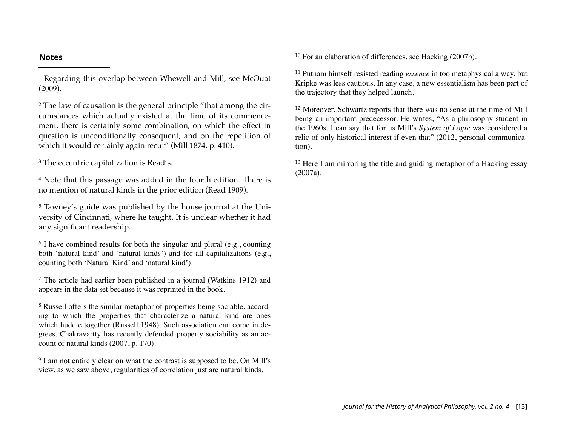#### **Notes**

<span id="page-13-0"></span>1 Regarding this overlap between Whewell and Mill, see McOuat (2009).

<span id="page-13-1"></span>2 The law of causation is the general principle "that among the circumstances which actually existed at the time of its commencement, there is certainly some combination, on which the effect in question is unconditionally consequent, and on the repetition of which it would certainly again recur" (Mill 1874, p. 410).

<span id="page-13-2"></span><sup>3</sup> The eccentric capitalization is Read's.

<span id="page-13-3"></span>4 Note that this passage was added in the fourth edition. There is no mention of natural kinds in the prior edition (Read 1909).

<span id="page-13-4"></span>5 Tawney's guide was published by the house journal at the University of Cincinnati, where he taught. It is unclear whether it had any significant readership.

<span id="page-13-5"></span> $6$  I have combined results for both the singular and plural (e.g., counting both 'natural kind' and 'natural kinds') and for all capitalizations (e.g., counting both 'Natural Kind' and 'natural kind').

<span id="page-13-6"></span><sup>7</sup> The article had earlier been published in a journal (Watkins 1912) and appears in the data set because it was reprinted in the book.

<span id="page-13-7"></span><sup>8</sup> Russell offers the similar metaphor of properties being sociable, according to which the properties that characterize a natural kind are ones which huddle together (Russell 1948). Such association can come in degrees. Chakravartty has recently defended property sociability as an account of natural kinds (2007, p. 170).

<span id="page-13-8"></span><sup>9</sup> I am not entirely clear on what the contrast is supposed to be. On Mill's view, as we saw above, regularities of correlation just are natural kinds.

<span id="page-13-9"></span><sup>10</sup> For an elaboration of differences, see Hacking (2007b).

<span id="page-13-10"></span><sup>11</sup> Putnam himself resisted reading *essence* in too metaphysical a way, but Kripke was less cautious. In any case, a new essentialism has been part of the trajectory that they helped launch.

<span id="page-13-11"></span><sup>12</sup> Moreover, Schwartz reports that there was no sense at the time of Mill being an important predecessor. He writes, "As a philosophy student in the 1960s, I can say that for us Mill's *System of Logic* was considered a relic of only historical interest if even that" (2012, personal communication).

<span id="page-13-12"></span><sup>13</sup> Here I am mirroring the title and guiding metaphor of a Hacking essay (2007a).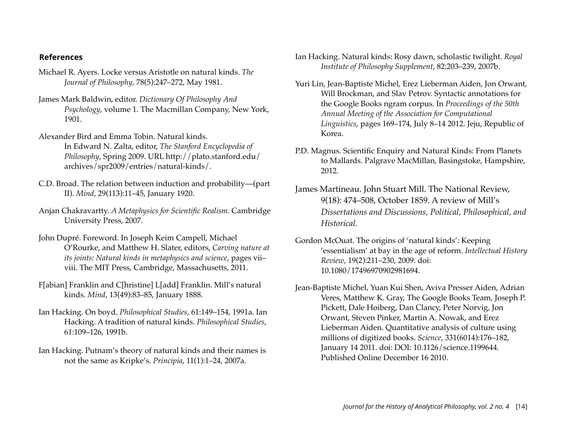## **References**

- Michael R. Ayers. Locke versus Aristotle on natural kinds. *The Journal of Philosophy*, 78(5):247–272, May 1981.
- James Mark Baldwin, editor. *Dictionary Of Philosophy And Psychology*, volume 1. The Macmillan Company, New York, 1901.
- Alexander Bird and Emma Tobin. Natural kinds. In Edward N. Zalta, editor, *The Stanford Encyclopedia of Philosophy*, Spring 2009. URL http://plato.stanford.edu/ archives/spr2009/entries/natural-kinds/.
- C.D. Broad. The relation between induction and probability—(part II). *Mind*, 29(113):11–45, January 1920.
- Anjan Chakravartty. *A Metaphysics for Scientific Realism*. Cambridge University Press, 2007.
- John Dupré. Foreword. In Joseph Keim Campell, Michael O'Rourke, and Matthew H. Slater, editors, *Carving nature at its joints: Natural kinds in metaphysics and science*, pages vii– viii. The MIT Press, Cambridge, Massachusetts, 2011.
- F[abian] Franklin and C[hristine] L[add] Franklin. Mill's natural kinds. *Mind*, 13(49):83–85, January 1888.
- Ian Hacking. On boyd. *Philosophical Studies*, 61:149–154, 1991a. Ian Hacking. A tradition of natural kinds. *Philosophical Studies*, 61:109–126, 1991b.
- Ian Hacking. Putnam's theory of natural kinds and their names is not the same as Kripke's. *Principia*, 11(1):1–24, 2007a.
- Ian Hacking. Natural kinds: Rosy dawn, scholastic twilight. *Royal Institute of Philosophy Supplement*, 82:203–239, 2007b.
- Yuri Lin, Jean-Baptiste Michel, Erez Lieberman Aiden, Jon Orwant, Will Brockman, and Slav Petrov. Syntactic annotations for the Google Books ngram corpus. In *Proceedings of the 50th Annual Meeting of the Association for Computational Linguistics*, pages 169–174, July 8–14 2012. Jeju, Republic of Korea.
- P.D. Magnus. Scientific Enquiry and Natural Kinds: From Planets to Mallards. Palgrave MacMillan, Basingstoke, Hampshire, 2012.
- James Martineau. John Stuart Mill. The National Review, 9(18): 474–508, October 1859. A review of Mill's *Dissertations and Discussions, Political, Philosophical, and Historical*.
- Gordon McOuat. The origins of 'natural kinds': Keeping 'essentialism' at bay in the age of reform. *Intellectual History Review*, 19(2):211–230, 2009. doi: 10.1080/17496970902981694.
- Jean-Baptiste Michel, Yuan Kui Shen, Aviva Presser Aiden, Adrian Veres, Matthew K. Gray, The Google Books Team, Joseph P. Pickett, Dale Hoiberg, Dan Clancy, Peter Norvig, Jon Orwant, Steven Pinker, Martin A. Nowak, and Erez Lieberman Aiden. Quantitative analysis of culture using millions of digitized books. *Science*, 331(6014):176–182, January 14 2011. doi: DOI: 10.1126/science.1199644. Published Online December 16 2010.